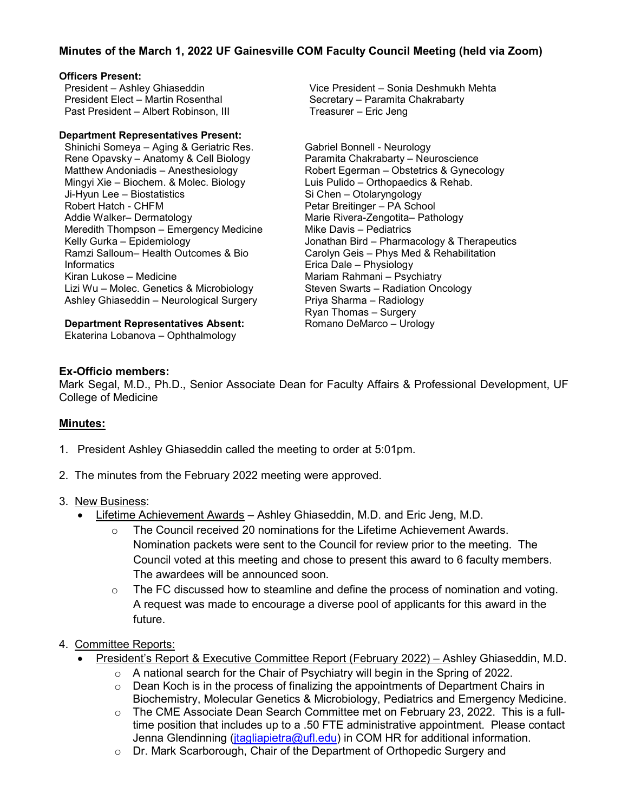# **Minutes of the March 1, 2022 UF Gainesville COM Faculty Council Meeting (held via Zoom)**

### **Officers Present:**

President – Ashley Ghiaseddin President Elect – Martin Rosenthal Past President – Albert Robinson, III

#### **Department Representatives Present:**

Shinichi Someya – Aging & Geriatric Res. Rene Opavsky – Anatomy & Cell Biology Matthew Andoniadis – Anesthesiology Mingyi Xie – Biochem. & Molec. Biology Ji-Hyun Lee – Biostatistics Robert Hatch - CHFM Addie Walker– Dermatology Meredith Thompson – Emergency Medicine Kelly Gurka – Epidemiology Ramzi Salloum– Health Outcomes & Bio **Informatics** Kiran Lukose – Medicine Lizi Wu – Molec. Genetics & Microbiology Ashley Ghiaseddin – Neurological Surgery

### **Department Representatives Absent:**

Ekaterina Lobanova – Ophthalmology

Vice President – Sonia Deshmukh Mehta Secretary – Paramita Chakrabarty Treasurer – Eric Jeng

Gabriel Bonnell - Neurology Paramita Chakrabarty – Neuroscience Robert Egerman – Obstetrics & Gynecology Luis Pulido – Orthopaedics & Rehab. Si Chen – Otolaryngology Petar Breitinger – PA School Marie Rivera-Zengotita– Pathology Mike Davis – Pediatrics Jonathan Bird – Pharmacology & Therapeutics Carolyn Geis – Phys Med & Rehabilitation Erica Dale – Physiology Mariam Rahmani – Psychiatry Steven Swarts – Radiation Oncology Priya Sharma – Radiology Ryan Thomas – Surgery Romano DeMarco – Urology

## **Ex-Officio members:**

Mark Segal, M.D., Ph.D., Senior Associate Dean for Faculty Affairs & Professional Development, UF College of Medicine

### **Minutes:**

- 1. President Ashley Ghiaseddin called the meeting to order at 5:01pm.
- 2. The minutes from the February 2022 meeting were approved.
- 3. New Business:
	- Lifetime Achievement Awards Ashley Ghiaseddin, M.D. and Eric Jeng, M.D.
		- The Council received 20 nominations for the Lifetime Achievement Awards. Nomination packets were sent to the Council for review prior to the meeting. The Council voted at this meeting and chose to present this award to 6 faculty members. The awardees will be announced soon.
		- $\circ$  The FC discussed how to steamline and define the process of nomination and voting. A request was made to encourage a diverse pool of applicants for this award in the future.

# 4. Committee Reports:

- President's Report & Executive Committee Report (February 2022) Ashley Ghiaseddin, M.D.
	- $\circ$  A national search for the Chair of Psychiatry will begin in the Spring of 2022.<br> $\circ$  Dean Koch is in the process of finalizing the appointments of Department Ch
	- Dean Koch is in the process of finalizing the appointments of Department Chairs in Biochemistry, Molecular Genetics & Microbiology, Pediatrics and Emergency Medicine.
	- $\circ$  The CME Associate Dean Search Committee met on February 23, 2022. This is a fulltime position that includes up to a .50 FTE administrative appointment. Please contact Jenna Glendinning (*jtagliapietra@ufl.edu*) in COM HR for additional information.
	- o Dr. Mark Scarborough, Chair of the Department of Orthopedic Surgery and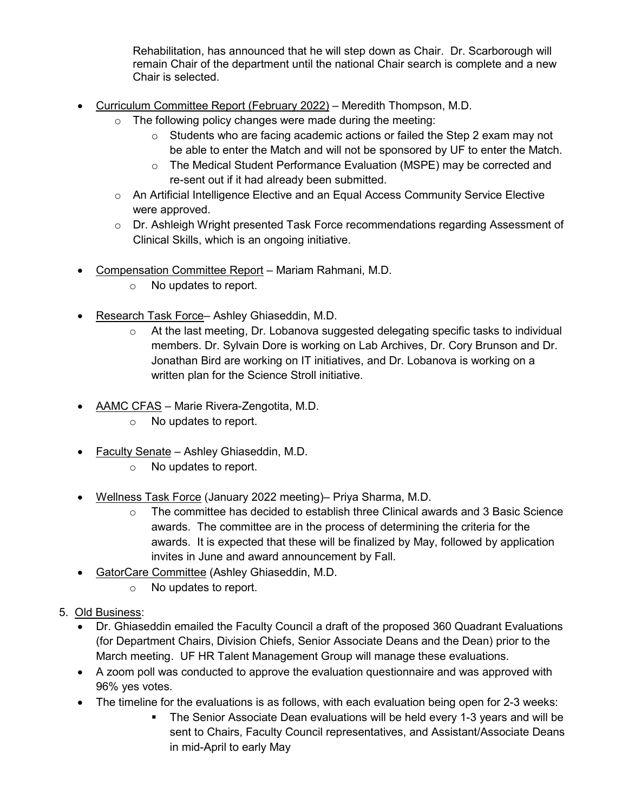Rehabilitation, has announced that he will step down as Chair. Dr. Scarborough will remain Chair of the department until the national Chair search is complete and a new Chair is selected.

- Curriculum Committee Report (February 2022) Meredith Thompson, M.D.
	- $\circ$  The following policy changes were made during the meeting:
		- $\circ$  Students who are facing academic actions or failed the Step 2 exam may not be able to enter the Match and will not be sponsored by UF to enter the Match.
		- o The Medical Student Performance Evaluation (MSPE) may be corrected and re-sent out if it had already been submitted.
	- o An Artificial Intelligence Elective and an Equal Access Community Service Elective were approved.
	- $\circ$  Dr. Ashleigh Wright presented Task Force recommendations regarding Assessment of Clinical Skills, which is an ongoing initiative.
- Compensation Committee Report Mariam Rahmani, M.D.
	- o No updates to report.
- Research Task Force– Ashley Ghiaseddin, M.D.
	- $\circ$  At the last meeting, Dr. Lobanova suggested delegating specific tasks to individual members. Dr. Sylvain Dore is working on Lab Archives, Dr. Cory Brunson and Dr. Jonathan Bird are working on IT initiatives, and Dr. Lobanova is working on a written plan for the Science Stroll initiative.
- AAMC CFAS Marie Rivera-Zengotita, M.D.
	- o No updates to report.
- Faculty Senate Ashley Ghiaseddin, M.D.
	- o No updates to report.
- Wellness Task Force (January 2022 meeting)– Priya Sharma, M.D.
	- $\circ$  The committee has decided to establish three Clinical awards and 3 Basic Science awards. The committee are in the process of determining the criteria for the awards. It is expected that these will be finalized by May, followed by application invites in June and award announcement by Fall.
- GatorCare Committee (Ashley Ghiaseddin, M.D.
	- o No updates to report.
- 5. Old Business:
	- Dr. Ghiaseddin emailed the Faculty Council a draft of the proposed 360 Quadrant Evaluations (for Department Chairs, Division Chiefs, Senior Associate Deans and the Dean) prior to the March meeting. UF HR Talent Management Group will manage these evaluations.
	- A zoom poll was conducted to approve the evaluation questionnaire and was approved with 96% yes votes.
	- The timeline for the evaluations is as follows, with each evaluation being open for 2-3 weeks:
		- The Senior Associate Dean evaluations will be held every 1-3 years and will be sent to Chairs, Faculty Council representatives, and Assistant/Associate Deans in mid-April to early May